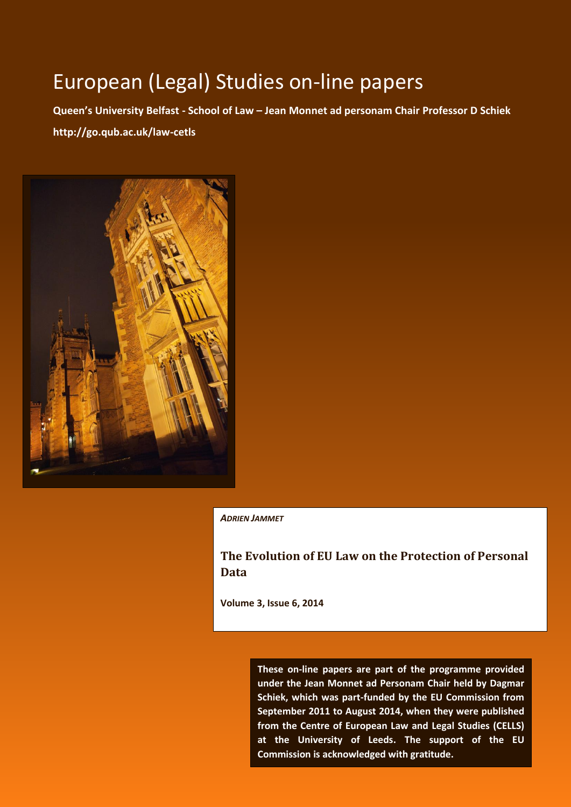# European (Legal) Studies on-line papers

**Queen's University Belfast - School of Law – Jean Monnet ad personam Chair Professor D Schiek http://go.qub.ac.uk/law-cetls**



*ADRIEN JAMMET*

**The Evolution of EU Law on the Protection of Personal Data**

**Volume 3, Issue 6, 2014** 

- 0 - **Commission is acknowledged with gratitude. These on-line papers are part of the programme provided under the Jean Monnet ad Personam Chair held by Dagmar Schiek, which was part-funded by the EU Commission from September 2011 to August 2014, when they were published from the Centre of European Law and Legal Studies (CELLS) at the University of Leeds. The support of the EU**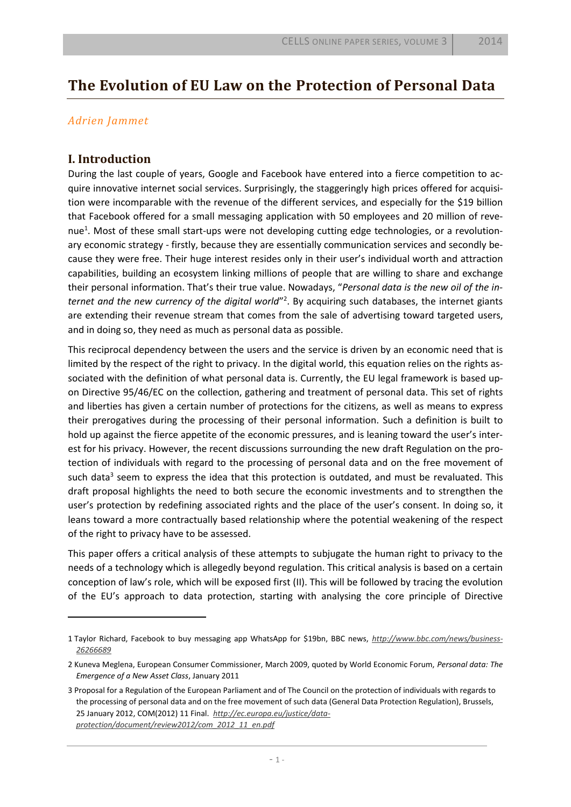## **The Evolution of EU Law on the Protection of Personal Data**

## *Adrien Jammet*

## **I. Introduction**

 $\overline{a}$ 

During the last couple of years, Google and Facebook have entered into a fierce competition to acquire innovative internet social services. Surprisingly, the staggeringly high prices offered for acquisition were incomparable with the revenue of the different services, and especially for the \$19 billion that Facebook offered for a small messaging application with 50 employees and 20 million of revenue<sup>1</sup>. Most of these small start-ups were not developing cutting edge technologies, or a revolutionary economic strategy - firstly, because they are essentially communication services and secondly because they were free. Their huge interest resides only in their user's individual worth and attraction capabilities, building an ecosystem linking millions of people that are willing to share and exchange their personal information. That's their true value. Nowadays, "*Personal data is the new oil of the in*ternet and the new currency of the digital world<sup>"2</sup>. By acquiring such databases, the internet giants are extending their revenue stream that comes from the sale of advertising toward targeted users, and in doing so, they need as much as personal data as possible.

This reciprocal dependency between the users and the service is driven by an economic need that is limited by the respect of the right to privacy. In the digital world, this equation relies on the rights associated with the definition of what personal data is. Currently, the EU legal framework is based upon Directive 95/46/EC on the collection, gathering and treatment of personal data. This set of rights and liberties has given a certain number of protections for the citizens, as well as means to express their prerogatives during the processing of their personal information. Such a definition is built to hold up against the fierce appetite of the economic pressures, and is leaning toward the user's interest for his privacy. However, the recent discussions surrounding the new draft Regulation on the protection of individuals with regard to the processing of personal data and on the free movement of such data<sup>3</sup> seem to express the idea that this protection is outdated, and must be revaluated. This draft proposal highlights the need to both secure the economic investments and to strengthen the user's protection by redefining associated rights and the place of the user's consent. In doing so, it leans toward a more contractually based relationship where the potential weakening of the respect of the right to privacy have to be assessed.

This paper offers a critical analysis of these attempts to subjugate the human right to privacy to the needs of a technology which is allegedly beyond regulation. This critical analysis is based on a certain conception of law's role, which will be exposed first (II). This will be followed by tracing the evolution of the EU's approach to data protection, starting with analysing the core principle of Directive

<sup>1</sup> Taylor Richard, Facebook to buy messaging app WhatsApp for \$19bn, BBC news, *[http://www.bbc.com/news/business-](http://www.bbc.com/news/business-26266689)[26266689](http://www.bbc.com/news/business-26266689)*

<sup>2</sup> Kuneva Meglena, European Consumer Commissioner, March 2009, quoted by World Economic Forum, *Personal data: The Emergence of a New Asset Class*, January 2011

<sup>3</sup> Proposal for a Regulation of the European Parliament and of The Council on the protection of individuals with regards to the processing of personal data and on the free movement of such data (General Data Protection Regulation), Brussels, 25 January 2012, COM(2012) 11 Final. *[http://ec.europa.eu/justice/data](http://ec.europa.eu/justice/data-protection/document/review2012/com_2012_11_en.pdf)[protection/document/review2012/com\\_2012\\_11\\_en.pdf](http://ec.europa.eu/justice/data-protection/document/review2012/com_2012_11_en.pdf)*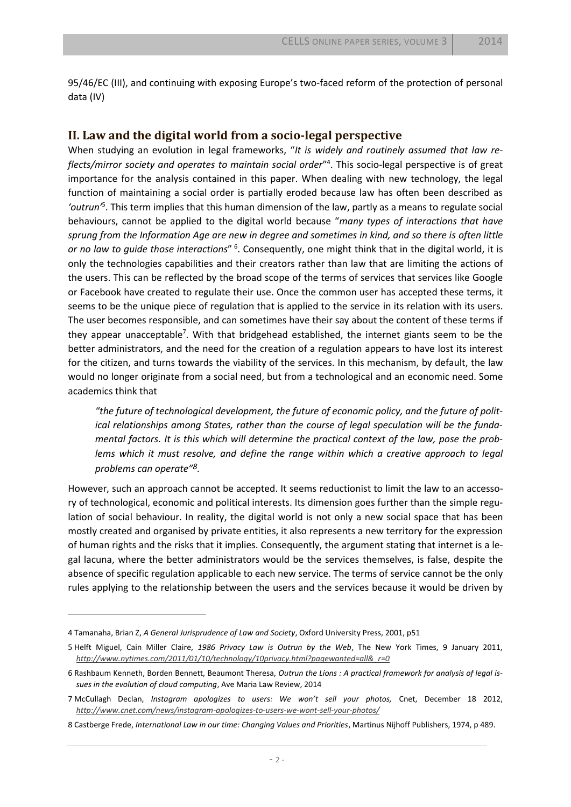95/46/EC (III), and continuing with exposing Europe's two-faced reform of the protection of personal data (IV)

#### **II. Law and the digital world from a socio-legal perspective**

When studying an evolution in legal frameworks, "*It is widely and routinely assumed that law re*flects/mirror society and operates to maintain social order"<sup>4</sup>. This socio-legal perspective is of great importance for the analysis contained in this paper. When dealing with new technology, the legal function of maintaining a social order is partially eroded because law has often been described as *'outrun'*<sup>5</sup> . This term implies that this human dimension of the law, partly as a means to regulate social behaviours, cannot be applied to the digital world because "*many types of interactions that have sprung from the Information Age are new in degree and sometimes in kind, and so there is often little*  or no law to guide those interactions" <sup>6</sup>. Consequently, one might think that in the digital world, it is only the technologies capabilities and their creators rather than law that are limiting the actions of the users. This can be reflected by the broad scope of the terms of services that services like Google or Facebook have created to regulate their use. Once the common user has accepted these terms, it seems to be the unique piece of regulation that is applied to the service in its relation with its users. The user becomes responsible, and can sometimes have their say about the content of these terms if they appear unacceptable<sup>7</sup>. With that bridgehead established, the internet giants seem to be the better administrators, and the need for the creation of a regulation appears to have lost its interest for the citizen, and turns towards the viability of the services. In this mechanism, by default, the law would no longer originate from a social need, but from a technological and an economic need. Some academics think that

*"the future of technological development, the future of economic policy, and the future of political relationships among States, rather than the course of legal speculation will be the fundamental factors. It is this which will determine the practical context of the law, pose the problems which it must resolve, and define the range within which a creative approach to legal problems can operate"8.*

However, such an approach cannot be accepted. It seems reductionist to limit the law to an accessory of technological, economic and political interests. Its dimension goes further than the simple regulation of social behaviour. In reality, the digital world is not only a new social space that has been mostly created and organised by private entities, it also represents a new territory for the expression of human rights and the risks that it implies. Consequently, the argument stating that internet is a legal lacuna, where the better administrators would be the services themselves, is false, despite the absence of specific regulation applicable to each new service. The terms of service cannot be the only rules applying to the relationship between the users and the services because it would be driven by

<sup>4</sup> Tamanaha, Brian Z, *A General Jurisprudence of Law and Society*, Oxford University Press, 2001, p51

<sup>5</sup> Helft Miguel, Cain Miller Claire, *1986 Privacy Law is Outrun by the Web*, The New York Times, 9 January 2011, *[http://www.nytimes.com/2011/01/10/technology/10privacy.html?pagewanted=all&\\_r=0](http://www.nytimes.com/2011/01/10/technology/10privacy.html?pagewanted=all&_r=0)*

<sup>6</sup> Rashbaum Kenneth, Borden Bennett, Beaumont Theresa, *Outrun the Lions : A practical framework for analysis of legal issues in the evolution of cloud computing*, Ave Maria Law Review, 2014

<sup>7</sup> McCullagh Declan, *Instagram apologizes to users: We won't sell your photos,* Cnet, December 18 2012, *<http://www.cnet.com/news/instagram-apologizes-to-users-we-wont-sell-your-photos/>*

<sup>8</sup> Castberge Frede, *International Law in our time: Changing Values and Priorities*, Martinus Nijhoff Publishers, 1974, p 489.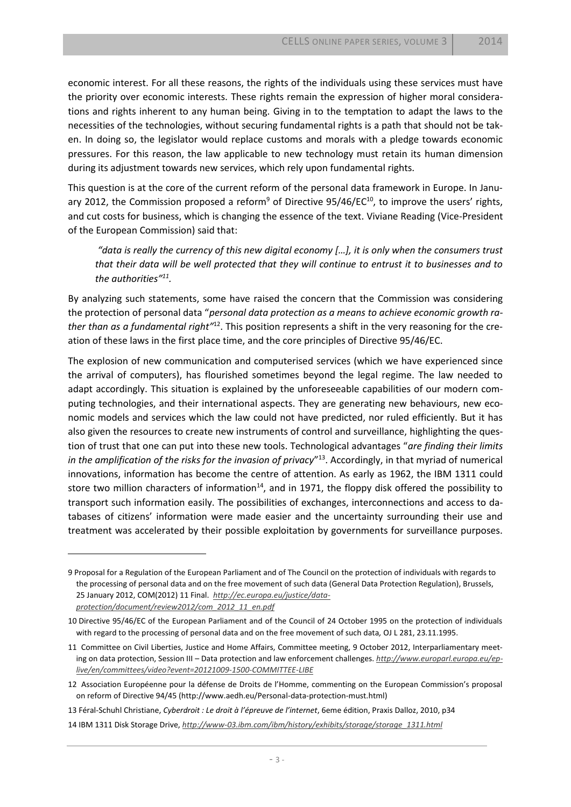economic interest. For all these reasons, the rights of the individuals using these services must have the priority over economic interests. These rights remain the expression of higher moral considerations and rights inherent to any human being. Giving in to the temptation to adapt the laws to the necessities of the technologies, without securing fundamental rights is a path that should not be taken. In doing so, the legislator would replace customs and morals with a pledge towards economic pressures. For this reason, the law applicable to new technology must retain its human dimension during its adjustment towards new services, which rely upon fundamental rights.

This question is at the core of the current reform of the personal data framework in Europe. In January 2012, the Commission proposed a reform<sup>9</sup> of Directive 95/46/EC<sup>10</sup>, to improve the users' rights, and cut costs for business, which is changing the essence of the text. Viviane Reading (Vice-President of the European Commission) said that:

*"data is really the currency of this new digital economy […], it is only when the consumers trust that their data will be well protected that they will continue to entrust it to businesses and to the authorities"<sup>11</sup> .* 

By analyzing such statements, some have raised the concern that the Commission was considering the protection of personal data "*personal data protection as a means to achieve economic growth rather than as a fundamental right"*12. This position represents a shift in the very reasoning for the creation of these laws in the first place time, and the core principles of Directive 95/46/EC.

The explosion of new communication and computerised services (which we have experienced since the arrival of computers), has flourished sometimes beyond the legal regime. The law needed to adapt accordingly. This situation is explained by the unforeseeable capabilities of our modern computing technologies, and their international aspects. They are generating new behaviours, new economic models and services which the law could not have predicted, nor ruled efficiently. But it has also given the resources to create new instruments of control and surveillance, highlighting the question of trust that one can put into these new tools. Technological advantages "*are finding their limits in the amplification of the risks for the invasion of privacy*" 13 . Accordingly, in that myriad of numerical innovations, information has become the centre of attention. As early as 1962, the IBM 1311 could store two million characters of information<sup>14</sup>, and in 1971, the floppy disk offered the possibility to transport such information easily. The possibilities of exchanges, interconnections and access to databases of citizens' information were made easier and the uncertainty surrounding their use and treatment was accelerated by their possible exploitation by governments for surveillance purposes.

<sup>9</sup> Proposal for a Regulation of the European Parliament and of The Council on the protection of individuals with regards to the processing of personal data and on the free movement of such data (General Data Protection Regulation), Brussels, 25 January 2012, COM(2012) 11 Final. *[http://ec.europa.eu/justice/data](http://ec.europa.eu/justice/data-protection/document/review2012/com_2012_11_en.pdf)[protection/document/review2012/com\\_2012\\_11\\_en.pdf](http://ec.europa.eu/justice/data-protection/document/review2012/com_2012_11_en.pdf)*

<sup>10</sup> Directive 95/46/EC of the European Parliament and of the Council of 24 October 1995 on the protection of individuals with regard to the processing of personal data and on the free movement of such data*,* OJ L 281, 23.11.1995.

<sup>11</sup> Committee on Civil Liberties, Justice and Home Affairs, Committee meeting, 9 October 2012, Interparliamentary meeting on data protection, Session III – Data protection and law enforcement challenges. *[http://www.europarl.europa.eu/ep](http://www.europarl.europa.eu/ep-live/en/committees/video?event=20121009-1500-COMMITTEE-LIBE)[live/en/committees/video?event=20121009-1500-COMMITTEE-LIBE](http://www.europarl.europa.eu/ep-live/en/committees/video?event=20121009-1500-COMMITTEE-LIBE)*

<sup>12</sup> Association Européenne pour la défense de Droits de l'Homme, commenting on the European Commission's proposal on reform of Directive 94/45 (http://www.aedh.eu/Personal-data-protection-must.html)

<sup>13</sup> Féral-Schuhl Christiane, *Cyberdroit : Le droit à l'épreuve de l'internet*, 6eme édition, Praxis Dalloz, 2010, p34

<sup>14</sup> IBM 1311 Disk Storage Drive, *[http://www-03.ibm.com/ibm/history/exhibits/storage/storage\\_1311.html](http://www-03.ibm.com/ibm/history/exhibits/storage/storage_1311.html)*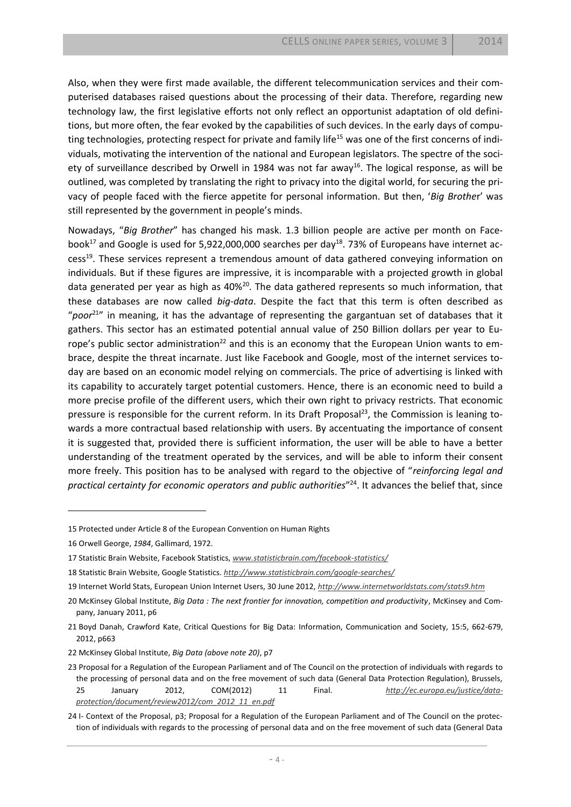Also, when they were first made available, the different telecommunication services and their computerised databases raised questions about the processing of their data. Therefore, regarding new technology law, the first legislative efforts not only reflect an opportunist adaptation of old definitions, but more often, the fear evoked by the capabilities of such devices. In the early days of computing technologies, protecting respect for private and family life<sup>15</sup> was one of the first concerns of individuals, motivating the intervention of the national and European legislators. The spectre of the society of surveillance described by Orwell in 1984 was not far away<sup>16</sup>. The logical response, as will be outlined, was completed by translating the right to privacy into the digital world, for securing the privacy of people faced with the fierce appetite for personal information. But then, '*Big Brothe*r' was still represented by the government in people's minds.

Nowadays, "*Big Brother*" has changed his mask. 1.3 billion people are active per month on Facebook<sup>17</sup> and Google is used for 5,922,000,000 searches per day<sup>18</sup>. 73% of Europeans have internet access<sup>19</sup>. These services represent a tremendous amount of data gathered conveying information on individuals. But if these figures are impressive, it is incomparable with a projected growth in global data generated per year as high as 40%<sup>20</sup>. The data gathered represents so much information, that these databases are now called *big-data*. Despite the fact that this term is often described as "poor<sup>21</sup>" in meaning, it has the advantage of representing the gargantuan set of databases that it gathers. This sector has an estimated potential annual value of 250 Billion dollars per year to Europe's public sector administration<sup>22</sup> and this is an economy that the European Union wants to embrace, despite the threat incarnate. Just like Facebook and Google, most of the internet services today are based on an economic model relying on commercials. The price of advertising is linked with its capability to accurately target potential customers. Hence, there is an economic need to build a more precise profile of the different users, which their own right to privacy restricts. That economic pressure is responsible for the current reform. In its Draft Proposal<sup>23</sup>, the Commission is leaning towards a more contractual based relationship with users. By accentuating the importance of consent it is suggested that, provided there is sufficient information, the user will be able to have a better understanding of the treatment operated by the services, and will be able to inform their consent more freely. This position has to be analysed with regard to the objective of "*reinforcing legal and practical certainty for economic operators and public authorities*" <sup>24</sup>. It advances the belief that, since

<sup>15</sup> Protected under Article 8 of the European Convention on Human Rights

<sup>16</sup> Orwell George, *1984*, Gallimard, 1972.

<sup>17</sup> Statistic Brain Website, Facebook Statistics, *[www.statisticbrain.com/facebook-statistics/](http://www.statisticbrain.com/facebook-statistics/)*

<sup>18</sup> Statistic Brain Website, Google Statistics. *<http://www.statisticbrain.com/google-searches/>*

<sup>19</sup> Internet World Stats, European Union Internet Users, 30 June 2012, *<http://www.internetworldstats.com/stats9.htm>*

<sup>20</sup> McKinsey Global Institute, *Big Data : The next frontier for innovation, competition and productivity*, McKinsey and Company, January 2011, p6

<sup>21</sup> Boyd Danah, Crawford Kate, Critical Questions for Big Data: Information, Communication and Society, 15:5, 662-679, 2012, p663

<sup>22</sup> McKinsey Global Institute, *Big Data (above note 20)*, p7

<sup>23</sup> Proposal for a Regulation of the European Parliament and of The Council on the protection of individuals with regards to the processing of personal data and on the free movement of such data (General Data Protection Regulation), Brussels, 25 January 2012, COM(2012) 11 Final. *[http://ec.europa.eu/justice/data](http://ec.europa.eu/justice/data-protection/document/review2012/com_2012_11_en.pdf)[protection/document/review2012/com\\_2012\\_11\\_en.pdf](http://ec.europa.eu/justice/data-protection/document/review2012/com_2012_11_en.pdf)*

<sup>24</sup> I- Context of the Proposal, p3; Proposal for a Regulation of the European Parliament and of The Council on the protection of individuals with regards to the processing of personal data and on the free movement of such data (General Data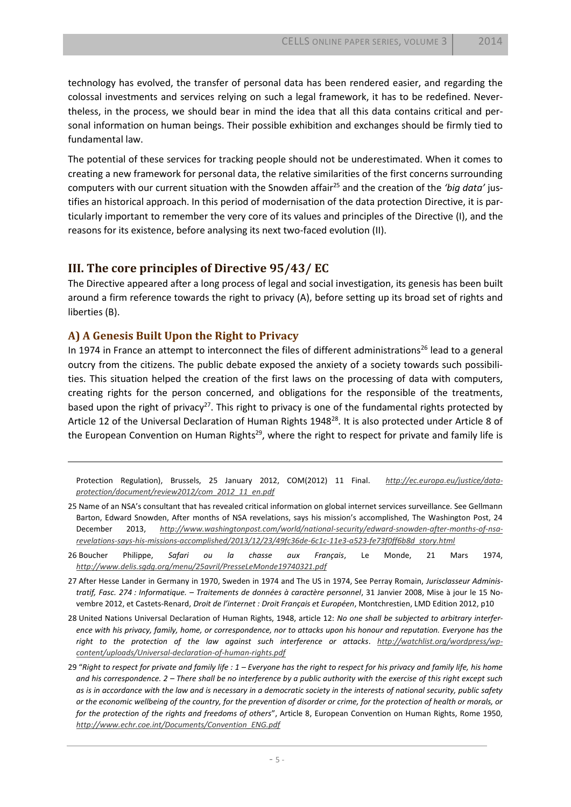technology has evolved, the transfer of personal data has been rendered easier, and regarding the colossal investments and services relying on such a legal framework, it has to be redefined. Nevertheless, in the process, we should bear in mind the idea that all this data contains critical and personal information on human beings. Their possible exhibition and exchanges should be firmly tied to fundamental law.

The potential of these services for tracking people should not be underestimated. When it comes to creating a new framework for personal data, the relative similarities of the first concerns surrounding computers with our current situation with the Snowden affair<sup>25</sup> and the creation of the 'big data' justifies an historical approach. In this period of modernisation of the data protection Directive, it is particularly important to remember the very core of its values and principles of the Directive (I), and the reasons for its existence, before analysing its next two-faced evolution (II).

## **III. The core principles of Directive 95/43/ EC**

The Directive appeared after a long process of legal and social investigation, its genesis has been built around a firm reference towards the right to privacy (A), before setting up its broad set of rights and liberties (B).

## **A) A Genesis Built Upon the Right to Privacy**

 $\overline{a}$ 

In 1974 in France an attempt to interconnect the files of different administrations<sup>26</sup> lead to a general outcry from the citizens. The public debate exposed the anxiety of a society towards such possibilities. This situation helped the creation of the first laws on the processing of data with computers, creating rights for the person concerned, and obligations for the responsible of the treatments, based upon the right of privacy<sup>27</sup>. This right to privacy is one of the fundamental rights protected by Article 12 of the Universal Declaration of Human Rights 1948<sup>28</sup>. It is also protected under Article 8 of the European Convention on Human Rights<sup>29</sup>, where the right to respect for private and family life is

Protection Regulation), Brussels, 25 January 2012, COM(2012) 11 Final. *[http://ec.europa.eu/justice/data](http://ec.europa.eu/justice/data-protection/document/review2012/com_2012_11_en.pdf)[protection/document/review2012/com\\_2012\\_11\\_en.pdf](http://ec.europa.eu/justice/data-protection/document/review2012/com_2012_11_en.pdf)*

- 25 Name of an NSA's consultant that has revealed critical information on global internet services surveillance. See Gellmann Barton, Edward Snowden, After months of NSA revelations, says his mission's accomplished, The Washington Post, 24 December 2013, *[http://www.washingtonpost.com/world/national-security/edward-snowden-after-months-of-nsa](http://www.washingtonpost.com/world/national-security/edward-snowden-after-months-of-nsa-revelations-says-his-missions-accomplished/2013/12/23/49fc36de-6c1c-11e3-a523-fe73f0ff6b8d_story.html)[revelations-says-his-missions-accomplished/2013/12/23/49fc36de-6c1c-11e3-a523-fe73f0ff6b8d\\_story.html](http://www.washingtonpost.com/world/national-security/edward-snowden-after-months-of-nsa-revelations-says-his-missions-accomplished/2013/12/23/49fc36de-6c1c-11e3-a523-fe73f0ff6b8d_story.html)*
- 26 Boucher Philippe, *Safari ou la chasse aux Français*, Le Monde, 21 Mars 1974, *<http://www.delis.sgdg.org/menu/25avril/PresseLeMonde19740321.pdf>*
- 27 After Hesse Lander in Germany in 1970, Sweden in 1974 and The US in 1974, See Perray Romain, *Jurisclasseur Administratif, Fasc. 274 : Informatique. – Traitements de données à caractère personnel*, 31 Janvier 2008, Mise à jour le 15 Novembre 2012, et Castets-Renard, *Droit de l'internet : Droit Français et Européen*, Montchrestien, LMD Edition 2012, p10
- 28 United Nations Universal Declaration of Human Rights, 1948, article 12: *No one shall be subjected to arbitrary interference with his privacy, family, home, or correspondence, nor to attacks upon his honour and reputation. Everyone has the right to the protection of the law against such interference or attacks*. *[http://watchlist.org/wordpress/wp](http://watchlist.org/wordpress/wp-content/uploads/Universal-declaration-of-human-rights.pdf)[content/uploads/Universal-declaration-of-human-rights.pdf](http://watchlist.org/wordpress/wp-content/uploads/Universal-declaration-of-human-rights.pdf)*
- 29 "*Right to respect for private and family life : 1 – Everyone has the right to respect for his privacy and family life, his home and his correspondence. 2 – There shall be no interference by a public authority with the exercise of this right except such as is in accordance with the law and is necessary in a democratic society in the interests of national security, public safety or the economic wellbeing of the country, for the prevention of disorder or crime, for the protection of health or morals, or for the protection of the rights and freedoms of others*", Article 8, European Convention on Human Rights, Rome 1950, *[http://www.echr.coe.int/Documents/Convention\\_ENG.pdf](http://www.echr.coe.int/Documents/Convention_ENG.pdf)*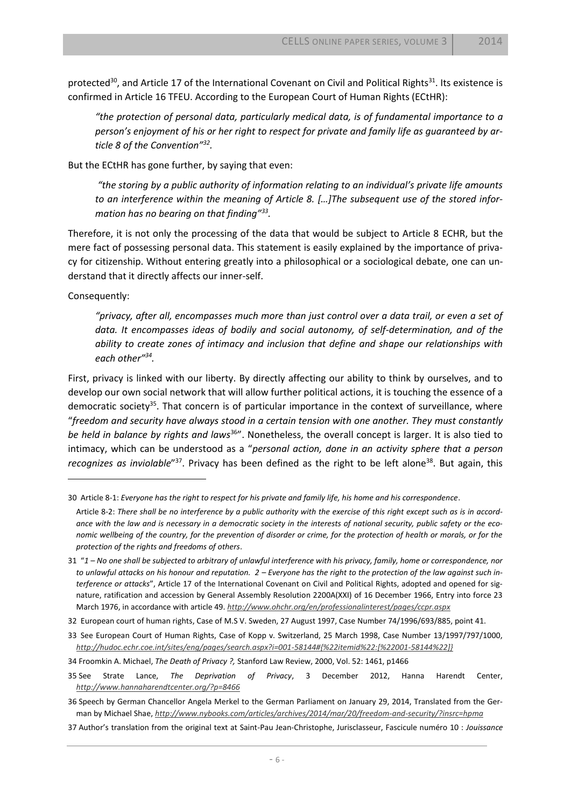protected<sup>30</sup>, and Article 17 of the International Covenant on Civil and Political Rights<sup>31</sup>. Its existence is confirmed in Article 16 TFEU. According to the European Court of Human Rights (ECtHR):

*"the protection of personal data, particularly medical data, is of fundamental importance to a person's enjoyment of his or her right to respect for private and family life as guaranteed by article 8 of the Convention"<sup>32</sup> .* 

But the ECtHR has gone further, by saying that even:

*"the storing by a public authority of information relating to an individual's private life amounts to an interference within the meaning of Article 8. […]The subsequent use of the stored information has no bearing on that finding"<sup>33</sup> .* 

Therefore, it is not only the processing of the data that would be subject to Article 8 ECHR, but the mere fact of possessing personal data. This statement is easily explained by the importance of privacy for citizenship. Without entering greatly into a philosophical or a sociological debate, one can understand that it directly affects our inner-self.

Consequently:

<span id="page-6-0"></span> $\overline{a}$ 

*"privacy, after all, encompasses much more than just control over a data trail, or even a set of data. It encompasses ideas of bodily and social autonomy, of self-determination, and of the ability to create zones of intimacy and inclusion that define and shape our relationships with each other"<sup>34</sup> .* 

First, privacy is linked with our liberty. By directly affecting our ability to think by ourselves, and to develop our own social network that will allow further political actions, it is touching the essence of a democratic society<sup>35</sup>. That concern is of particular importance in the context of surveillance, where "*freedom and security have always stood in a certain tension with one another. They must constantly be held in balance by rights and laws*<sup>36</sup>". Nonetheless, the overall concept is larger. It is also tied to intimacy, which can be understood as a "*personal action, done in an activity sphere that a person*  recognizes as inviolable<sup>"37</sup>. Privacy has been defined as the right to be left alone<sup>38</sup>. But again, this

35 See Strate Lance, *The Deprivation of Privacy*, 3 December 2012, Hanna Harendt Center, *<http://www.hannaharendtcenter.org/?p=8466>*

<sup>30</sup> Article 8-1: *Everyone has the right to respect for his private and family life, his home and his correspondence*.

Article 8-2: *There shall be no interference by a public authority with the exercise of this right except such as is in accordance with the law and is necessary in a democratic society in the interests of national security, public safety or the economic wellbeing of the country, for the prevention of disorder or crime, for the protection of health or morals, or for the protection of the rights and freedoms of others*.

<sup>31</sup> "*1 – No one shall be subjected to arbitrary of unlawful interference with his privacy, family, home or correspondence, nor*  to unlawful attacks on his honour and reputation. 2 – Everyone has the right to the protection of the law against such in*terference or attacks*", Article 17 of the International Covenant on Civil and Political Rights, adopted and opened for signature, ratification and accession by General Assembly Resolution 2200A(XXI) of 16 December 1966, Entry into force 23 March 1976, in accordance with article 49. *<http://www.ohchr.org/en/professionalinterest/pages/ccpr.aspx>*

<sup>32</sup> European court of human rights, Case of M.S V. Sweden, 27 August 1997, Case Number 74/1996/693/885, point 41.

<sup>33</sup> See European Court of Human Rights, Case of Kopp v. Switzerland, 25 March 1998, Case Number 13/1997/797/1000, *[http://hudoc.echr.coe.int/sites/eng/pages/search.aspx?i=001-58144#{%22itemid%22:\[%22001-58144%22\]}](http://hudoc.echr.coe.int/sites/eng/pages/search.aspx?i=001-58144#{%22itemid%22:[%22001-58144%22]})*

<sup>34</sup> Froomkin A. Michael, *The Death of Privacy ?,* Stanford Law Review, 2000, Vol. 52: 1461, p1466

<sup>36</sup> Speech by German Chancellor Angela Merkel to the German Parliament on January 29, 2014, Translated from the German by Michael Shae, *<http://www.nybooks.com/articles/archives/2014/mar/20/freedom-and-security/?insrc=hpma>*

<sup>37</sup> Author's translation from the original text at Saint-Pau Jean-Christophe, Jurisclasseur, Fascicule numéro 10 : *Jouissance*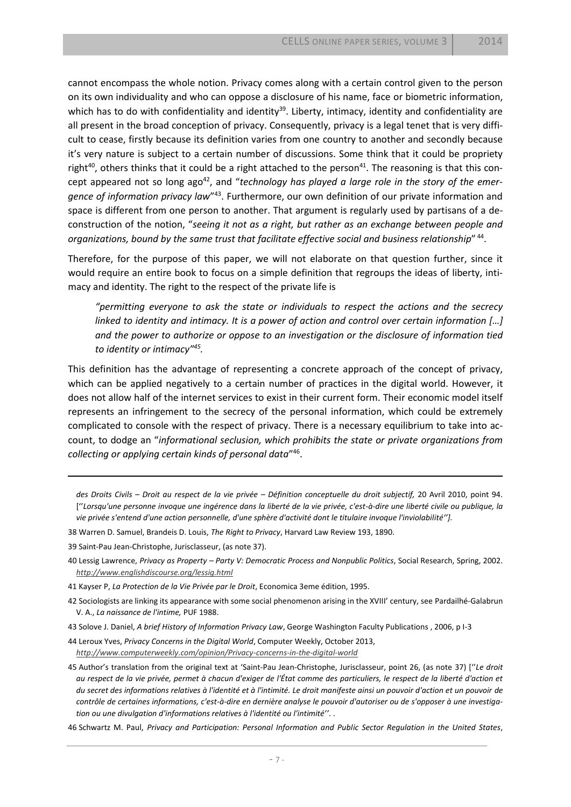cannot encompass the whole notion. Privacy comes along with a certain control given to the person on its own individuality and who can oppose a disclosure of his name, face or biometric information, which has to do with confidentiality and identity<sup>39</sup>. Liberty, intimacy, identity and confidentiality are all present in the broad conception of privacy. Consequently, privacy is a legal tenet that is very difficult to cease, firstly because its definition varies from one country to another and secondly because it's very nature is subject to a certain number of discussions. Some think that it could be propriety right<sup>40</sup>, others thinks that it could be a right attached to the person<sup>41</sup>. The reasoning is that this concept appeared not so long ago<sup>42</sup>, and "*technology has played a large role in the story of the emer*gence of information privacy law<sup>"43</sup>. Furthermore, our own definition of our private information and space is different from one person to another. That argument is regularly used by partisans of a deconstruction of the notion, "*seeing it not as a right, but rather as an exchange between people and organizations, bound by the same trust that facilitate effective social and business relationship*" 44 .

Therefore, for the purpose of this paper, we will not elaborate on that question further, since it would require an entire book to focus on a simple definition that regroups the ideas of liberty, intimacy and identity. The right to the respect of the private life is

*"permitting everyone to ask the state or individuals to respect the actions and the secrecy linked to identity and intimacy. It is a power of action and control over certain information [...] and the power to authorize or oppose to an investigation or the disclosure of information tied to identity or intimacy" 45 .* 

This definition has the advantage of representing a concrete approach of the concept of privacy, which can be applied negatively to a certain number of practices in the digital world. However, it does not allow half of the internet services to exist in their current form. Their economic model itself represents an infringement to the secrecy of the personal information, which could be extremely complicated to console with the respect of privacy. There is a necessary equilibrium to take into account, to dodge an "*informational seclusion, which prohibits the state or private organizations from collecting or applying certain kinds of personal data*" 46 .

- *des Droits Civils – Droit au respect de la vie privée – Définition conceptuelle du droit subjectif,* 20 Avril 2010, point 94. [''*Lorsqu'une personne invoque une ingérence dans la liberté de la vie privée, c'est-à-dire une liberté civile ou publique, la vie privée s'entend d'une action personnelle, d'une sphère d'activité dont le titulaire invoque l'inviolabilité''].*
- 38 Warren D. Samuel, Brandeis D. Louis, *The Right to Privacy*, Harvard Law Review 193, 1890.
- 39 Saint-Pau Jean-Christophe, Jurisclasseur, (as note 37).

 $\overline{a}$ 

- 40 Lessig Lawrence, *Privacy as Property – Party V: Democratic Process and Nonpublic Politics*, Social Research, Spring, 2002. *<http://www.englishdiscourse.org/lessig.html>*
- 41 Kayser P, *La Protection de la Vie Privée par le Droit*, Economica 3eme édition, 1995.
- 42 Sociologists are linking its appearance with some social phenomenon arising in the XVIII' century, see Pardailhé-Galabrun V. A., *La naissance de l'intime,* PUF 1988.
- 43 Solove J. Daniel, *A brief History of Information Privacy Law*, George Washington Faculty Publications , 2006, p I-3

44 Leroux Yves, *Privacy Concerns in the Digital World*, Computer Weekly, October 2013, *<http://www.computerweekly.com/opinion/Privacy-concerns-in-the-digital-world>*

45 Author's translation from the original text at 'Saint-Pau Jean-Christophe, Jurisclasseur, point 26, (as note [37\)](#page-6-0) [''*Le droit au respect de la vie privée, permet à chacun d'exiger de l'État comme des particuliers, le respect de la liberté d'action et du secret des informations relatives à l'identité et à l'intimité. Le droit manifeste ainsi un pouvoir d'action et un pouvoir de contrôle de certaines informations, c'est-à-dire en dernière analyse le pouvoir d'autoriser ou de s'opposer à une investigation ou une divulgation d'informations relatives à l'identité ou l'intimité''*. .

46 Schwartz M. Paul, *Privacy and Participation: Personal Information and Public Sector Regulation in the United States*,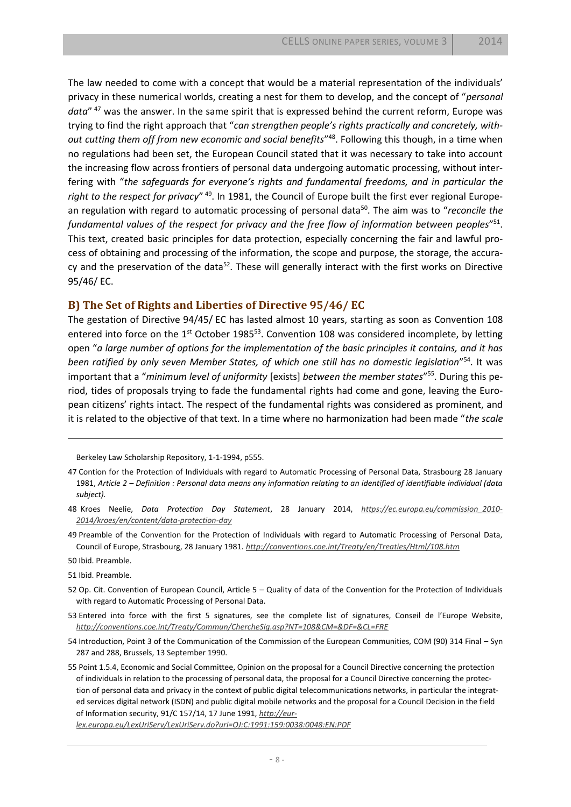The law needed to come with a concept that would be a material representation of the individuals' privacy in these numerical worlds, creating a nest for them to develop, and the concept of "*personal data*" <sup>47</sup> was the answer. In the same spirit that is expressed behind the current reform, Europe was trying to find the right approach that "*can strengthen people's rights practically and concretely, with*out cutting them off from new economic and social benefits<sup>"48</sup>. Following this though, in a time when no regulations had been set, the European Council stated that it was necessary to take into account the increasing flow across frontiers of personal data undergoing automatic processing, without interfering with "*the safeguards for everyone's rights and fundamental freedoms, and in particular the right to the respect for privacy*" 49. In 1981, the Council of Europe built the first ever regional European regulation with regard to automatic processing of personal data<sup>50</sup>. The aim was to "*reconcile the fundamental values of the respect for privacy and the free flow of information between peoples*" 51 . This text, created basic principles for data protection, especially concerning the fair and lawful process of obtaining and processing of the information, the scope and purpose, the storage, the accuracy and the preservation of the data<sup>52</sup>. These will generally interact with the first works on Directive 95/46/ EC.

#### **B) The Set of Rights and Liberties of Directive 95/46/ EC**

The gestation of Directive 94/45/ EC has lasted almost 10 years, starting as soon as Convention 108 entered into force on the 1<sup>st</sup> October 1985<sup>53</sup>. Convention 108 was considered incomplete, by letting open "*a large number of options for the implementation of the basic principles it contains, and it has been ratified by only seven Member States, of which one still has no domestic legislation*" <sup>54</sup>. It was important that a "*minimum level of uniformity* [exists] *between the member states*" 55. During this period, tides of proposals trying to fade the fundamental rights had come and gone, leaving the European citizens' rights intact. The respect of the fundamental rights was considered as prominent, and it is related to the objective of that text. In a time where no harmonization had been made "*the scale* 

Berkeley Law Scholarship Repository, 1-1-1994, p555.

49 Preamble of the Convention for the Protection of Individuals with regard to Automatic Processing of Personal Data, Council of Europe, Strasbourg, 28 January 1981. *<http://conventions.coe.int/Treaty/en/Treaties/Html/108.htm>*

50 Ibid. Preamble.

 $\overline{\phantom{a}}$ 

51 Ibid. Preamble.

52 Op. Cit. Convention of European Council, Article 5 – Quality of data of the Convention for the Protection of Individuals with regard to Automatic Processing of Personal Data.

53 Entered into force with the first 5 signatures, see the complete list of signatures, Conseil de l'Europe Website, *<http://conventions.coe.int/Treaty/Commun/ChercheSig.asp?NT=108&CM=&DF=&CL=FRE>*

54 Introduction, Point 3 of the Communication of the Commission of the European Communities, COM (90) 314 Final – Syn 287 and 288, Brussels, 13 September 1990.

55 Point 1.5.4, Economic and Social Committee, Opinion on the proposal for a Council Directive concerning the protection of individuals in relation to the processing of personal data, the proposal for a Council Directive concerning the protection of personal data and privacy in the context of public digital telecommunications networks, in particular the integrated services digital network (ISDN) and public digital mobile networks and the proposal for a Council Decision in the field of Information security, 91/C 157/14, 17 June 1991, *[http://eur-](http://eur-lex.europa.eu/LexUriServ/LexUriServ.do?uri=OJ:C:1991:159:0038:0048:EN:PDF)*

*[lex.europa.eu/LexUriServ/LexUriServ.do?uri=OJ:C:1991:159:0038:0048:EN:PDF](http://eur-lex.europa.eu/LexUriServ/LexUriServ.do?uri=OJ:C:1991:159:0038:0048:EN:PDF)*

<sup>47</sup> Contion for the Protection of Individuals with regard to Automatic Processing of Personal Data, Strasbourg 28 January 1981, *Article 2 – Definition : Personal data means any information relating to an identified of identifiable individual (data subject).*

<sup>48</sup> Kroes Neelie, *Data Protection Day Statement*, 28 January 2014, *[https://ec.europa.eu/commission\\_2010-](https://ec.europa.eu/commission_2010-2014/kroes/en/content/data-protection-day) [2014/kroes/en/content/data-protection-day](https://ec.europa.eu/commission_2010-2014/kroes/en/content/data-protection-day)*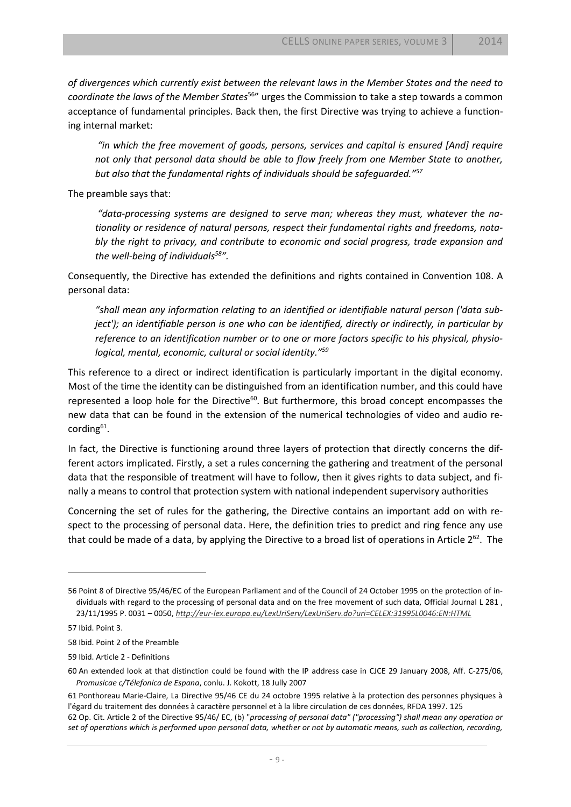*of divergences which currently exist between the relevant laws in the Member States and the need to coordinate the laws of the Member States*<sup>56</sup>" urges the Commission to take a step towards a common acceptance of fundamental principles. Back then, the first Directive was trying to achieve a functioning internal market:

*"in which the free movement of goods, persons, services and capital is ensured [And] require not only that personal data should be able to flow freely from one Member State to another, but also that the fundamental rights of individuals should be safeguarded."<sup>57</sup>*

The preamble says that:

*"data-processing systems are designed to serve man; whereas they must, whatever the nationality or residence of natural persons, respect their fundamental rights and freedoms, notably the right to privacy, and contribute to economic and social progress, trade expansion and the well-being of individuals<sup>58</sup> ".* 

Consequently, the Directive has extended the definitions and rights contained in Convention 108. A personal data:

*"shall mean any information relating to an identified or identifiable natural person ('data subject'); an identifiable person is one who can be identified, directly or indirectly, in particular by reference to an identification number or to one or more factors specific to his physical, physiological, mental, economic, cultural or social identity."<sup>59</sup>*

This reference to a direct or indirect identification is particularly important in the digital economy. Most of the time the identity can be distinguished from an identification number, and this could have represented a loop hole for the Directive<sup>60</sup>. But furthermore, this broad concept encompasses the new data that can be found in the extension of the numerical technologies of video and audio recording<sup>61</sup>.

In fact, the Directive is functioning around three layers of protection that directly concerns the different actors implicated. Firstly, a set a rules concerning the gathering and treatment of the personal data that the responsible of treatment will have to follow, then it gives rights to data subject, and finally a means to control that protection system with national independent supervisory authorities

Concerning the set of rules for the gathering, the Directive contains an important add on with respect to the processing of personal data. Here, the definition tries to predict and ring fence any use that could be made of a data, by applying the Directive to a broad list of operations in Article 2<sup>62</sup>. The

 $\overline{\phantom{a}}$ 

<sup>56</sup> Point 8 of Directive 95/46/EC of the European Parliament and of the Council of 24 October 1995 on the protection of individuals with regard to the processing of personal data and on the free movement of such data, Official Journal L 281 , 23/11/1995 P. 0031 – 0050, *<http://eur-lex.europa.eu/LexUriServ/LexUriServ.do?uri=CELEX:31995L0046:EN:HTML>*

<sup>57</sup> Ibid. Point 3.

<sup>58</sup> Ibid. Point 2 of the Preamble

<sup>59</sup> Ibid. Article 2 - Definitions

<sup>60</sup> An extended look at that distinction could be found with the IP address case in CJCE 29 January 2008, Aff. C-275/06, *Promusicae c/Télefonica de Espana*, conlu. J. Kokott, 18 Jully 2007

<sup>61</sup> Ponthoreau Marie-Claire, La Directive 95/46 CE du 24 octobre 1995 relative à la protection des personnes physiques à l'égard du traitement des données à caractère personnel et à la libre circulation de ces données, RFDA 1997. 125 62 Op. Cit. Article 2 of the Directive 95/46/ EC, (b) "*processing of personal data" ("processing") shall mean any operation or set of operations which is performed upon personal data, whether or not by automatic means, such as collection, recording,*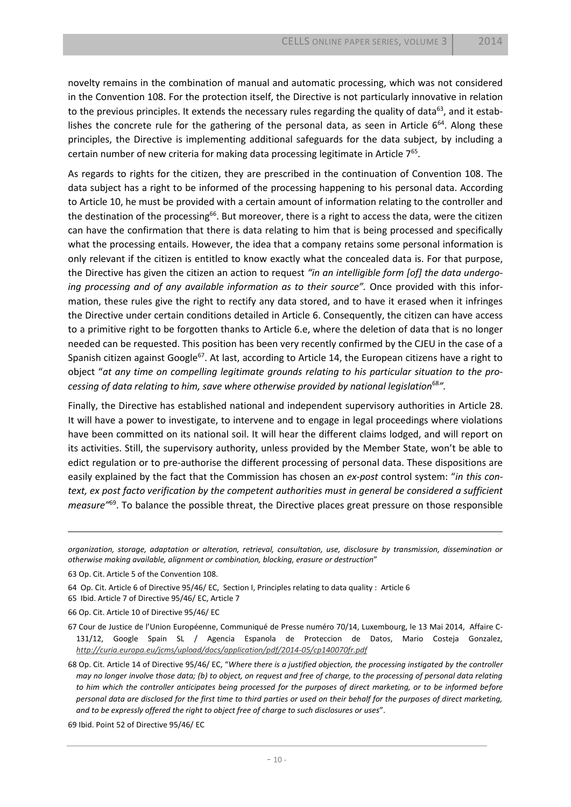novelty remains in the combination of manual and automatic processing, which was not considered in the Convention 108. For the protection itself, the Directive is not particularly innovative in relation to the previous principles. It extends the necessary rules regarding the quality of data<sup>63</sup>, and it establishes the concrete rule for the gathering of the personal data, as seen in Article  $6^{64}$ . Along these principles, the Directive is implementing additional safeguards for the data subject, by including a certain number of new criteria for making data processing legitimate in Article  $7^{65}$ .

As regards to rights for the citizen, they are prescribed in the continuation of Convention 108. The data subject has a right to be informed of the processing happening to his personal data. According to Article 10, he must be provided with a certain amount of information relating to the controller and the destination of the processing<sup>66</sup>. But moreover, there is a right to access the data, were the citizen can have the confirmation that there is data relating to him that is being processed and specifically what the processing entails. However, the idea that a company retains some personal information is only relevant if the citizen is entitled to know exactly what the concealed data is. For that purpose, the Directive has given the citizen an action to request *"in an intelligible form [of] the data undergo*ing processing and of any available information as to their source". Once provided with this information, these rules give the right to rectify any data stored, and to have it erased when it infringes the Directive under certain conditions detailed in Article 6. Consequently, the citizen can have access to a primitive right to be forgotten thanks to Article 6.e, where the deletion of data that is no longer needed can be requested. This position has been very recently confirmed by the CJEU in the case of a Spanish citizen against Google<sup>67</sup>. At last, according to Article 14, the European citizens have a right to object "*at any time on compelling legitimate grounds relating to his particular situation to the processing of data relating to him, save where otherwise provided by national legislation*<sup>68</sup>*".* 

Finally, the Directive has established national and independent supervisory authorities in Article 28. It will have a power to investigate, to intervene and to engage in legal proceedings where violations have been committed on its national soil. It will hear the different claims lodged, and will report on its activities. Still, the supervisory authority, unless provided by the Member State, won't be able to edict regulation or to pre-authorise the different processing of personal data. These dispositions are easily explained by the fact that the Commission has chosen an *ex-post* control system: "*in this context, ex post facto verification by the competent authorities must in general be considered a sufficient measure"*<sup>69</sup> . To balance the possible threat, the Directive places great pressure on those responsible

 $\overline{\phantom{a}}$ 

69 Ibid. Point 52 of Directive 95/46/ EC

*organization, storage, adaptation or alteration, retrieval, consultation, use, disclosure by transmission, dissemination or otherwise making available, alignment or combination, blocking, erasure or destruction*"

<sup>63</sup> Op. Cit. Article 5 of the Convention 108.

<sup>64</sup> Op. Cit. Article 6 of Directive 95/46/ EC, Section I, Principles relating to data quality : Article 6

<sup>65</sup> Ibid. Article 7 of Directive 95/46/ EC, Article 7

<sup>66</sup> Op. Cit. Article 10 of Directive 95/46/ EC

<sup>67</sup> Cour de Justice de l'Union Européenne, Communiqué de Presse numéro 70/14, Luxembourg, le 13 Mai 2014, Affaire C-131/12, Google Spain SL / Agencia Espanola de Proteccion de Datos, Mario Costeja Gonzalez, *<http://curia.europa.eu/jcms/upload/docs/application/pdf/2014-05/cp140070fr.pdf>*

<sup>68</sup> Op. Cit. Article 14 of Directive 95/46/ EC, "*Where there is a justified objection, the processing instigated by the controller may no longer involve those data; (b) to object, on request and free of charge, to the processing of personal data relating to him which the controller anticipates being processed for the purposes of direct marketing, or to be informed before personal data are disclosed for the first time to third parties or used on their behalf for the purposes of direct marketing, and to be expressly offered the right to object free of charge to such disclosures or uses*".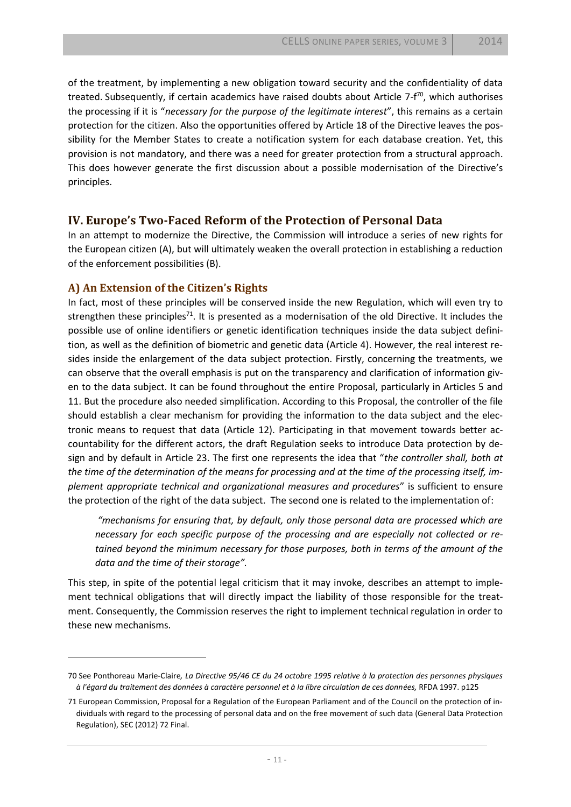of the treatment, by implementing a new obligation toward security and the confidentiality of data treated. Subsequently, if certain academics have raised doubts about Article 7-f<sup>70</sup>, which authorises the processing if it is "*necessary for the purpose of the legitimate interest*", this remains as a certain protection for the citizen. Also the opportunities offered by Article 18 of the Directive leaves the possibility for the Member States to create a notification system for each database creation. Yet, this provision is not mandatory, and there was a need for greater protection from a structural approach. This does however generate the first discussion about a possible modernisation of the Directive's principles.

## **IV. Europe's Two-Faced Reform of the Protection of Personal Data**

In an attempt to modernize the Directive, the Commission will introduce a series of new rights for the European citizen (A), but will ultimately weaken the overall protection in establishing a reduction of the enforcement possibilities (B).

## **A) An Extension of the Citizen's Rights**

 $\overline{a}$ 

In fact, most of these principles will be conserved inside the new Regulation, which will even try to strengthen these principles<sup>71</sup>. It is presented as a modernisation of the old Directive. It includes the possible use of online identifiers or genetic identification techniques inside the data subject definition, as well as the definition of biometric and genetic data (Article 4). However, the real interest resides inside the enlargement of the data subject protection. Firstly, concerning the treatments, we can observe that the overall emphasis is put on the transparency and clarification of information given to the data subject. It can be found throughout the entire Proposal, particularly in Articles 5 and 11. But the procedure also needed simplification. According to this Proposal, the controller of the file should establish a clear mechanism for providing the information to the data subject and the electronic means to request that data (Article 12). Participating in that movement towards better accountability for the different actors, the draft Regulation seeks to introduce Data protection by design and by default in Article 23. The first one represents the idea that "*the controller shall, both at the time of the determination of the means for processing and at the time of the processing itself, implement appropriate technical and organizational measures and procedures*" is sufficient to ensure the protection of the right of the data subject. The second one is related to the implementation of:

*"mechanisms for ensuring that, by default, only those personal data are processed which are necessary for each specific purpose of the processing and are especially not collected or retained beyond the minimum necessary for those purposes, both in terms of the amount of the data and the time of their storage".* 

This step, in spite of the potential legal criticism that it may invoke, describes an attempt to implement technical obligations that will directly impact the liability of those responsible for the treatment. Consequently, the Commission reserves the right to implement technical regulation in order to these new mechanisms.

<sup>70</sup> See Ponthoreau Marie-Claire*, La Directive 95/46 CE du 24 octobre 1995 relative à la protection des personnes physiques à l'égard du traitement des données à caractère personnel et à la libre circulation de ces données,* RFDA 1997. p125

<sup>71</sup> European Commission, Proposal for a Regulation of the European Parliament and of the Council on the protection of individuals with regard to the processing of personal data and on the free movement of such data (General Data Protection Regulation), SEC (2012) 72 Final.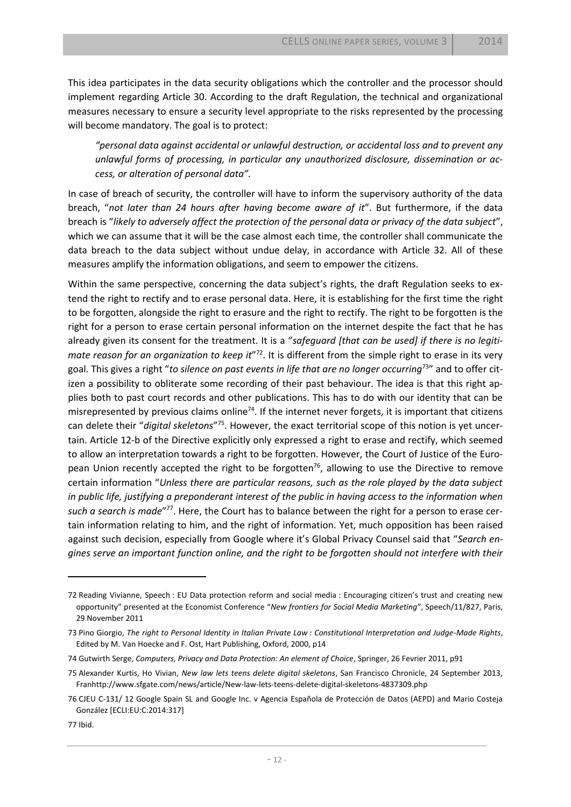This idea participates in the data security obligations which the controller and the processor should implement regarding Article 30. According to the draft Regulation, the technical and organizational measures necessary to ensure a security level appropriate to the risks represented by the processing will become mandatory. The goal is to protect:

*"personal data against accidental or unlawful destruction, or accidental loss and to prevent any unlawful forms of processing, in particular any unauthorized disclosure, dissemination or access, or alteration of personal data".* 

In case of breach of security, the controller will have to inform the supervisory authority of the data breach, "*not later than 24 hours after having become aware of it*". But furthermore, if the data breach is "*likely to adversely affect the protection of the personal data or privacy of the data subject*", which we can assume that it will be the case almost each time, the controller shall communicate the data breach to the data subject without undue delay, in accordance with Article 32. All of these measures amplify the information obligations, and seem to empower the citizens.

Within the same perspective, concerning the data subject's rights, the draft Regulation seeks to extend the right to rectify and to erase personal data. Here, it is establishing for the first time the right to be forgotten, alongside the right to erasure and the right to rectify. The right to be forgotten is the right for a person to erase certain personal information on the internet despite the fact that he has already given its consent for the treatment. It is a "*safeguard [that can be used] if there is no legiti*mate reason for an organization to keep it"<sup>72</sup>. It is different from the simple right to erase in its very goal. This gives a right "*to silence on past events in life that are no longer occurring*<sup>73</sup>" and to offer citizen a possibility to obliterate some recording of their past behaviour. The idea is that this right applies both to past court records and other publications. This has to do with our identity that can be misrepresented by previous claims online<sup>74</sup>. If the internet never forgets, it is important that citizens can delete their "*digital skeletons*" 75. However, the exact territorial scope of this notion is yet uncertain. Article 12-b of the Directive explicitly only expressed a right to erase and rectify, which seemed to allow an interpretation towards a right to be forgotten. However, the Court of Justice of the European Union recently accepted the right to be forgotten<sup>76</sup>, allowing to use the Directive to remove certain information "*Unless there are particular reasons, such as the role played by the data subject in public life, justifying a preponderant interest of the public in having access to the information when* such a search is made"<sup>77</sup>. Here, the Court has to balance between the right for a person to erase certain information relating to him, and the right of information. Yet, much opposition has been raised against such decision, especially from Google where it's Global Privacy Counsel said that "*Search engines serve an important function online, and the right to be forgotten should not interfere with their* 

<sup>72</sup> Reading Vivianne, Speech : EU Data protection reform and social media : Encouraging citizen's trust and creating new opportunity" presented at the Economist Conference "*New frontiers for Social Media Marketing*", Speech/11/827, Paris, 29 November 2011

<sup>73</sup> Pino Giorgio, *The right to Personal Identity in Italian Private Law : Constitutional Interpretation and Judge-Made Rights*, Edited by M. Van Hoecke and F. Ost, Hart Publishing, Oxford, 2000, p14

<sup>74</sup> Gutwirth Serge, *Computers, Privacy and Data Protection: An element of Choice*, Springer, 26 Fevrier 2011, p91

<sup>75</sup> Alexander Kurtis, Ho Vivian, *New law lets teens delete digital skeletons*, San Francisco Chronicle, 24 September 2013, Franhttp://www.sfgate.com/news/article/New-law-lets-teens-delete-digital-skeletons-4837309.php

<sup>76</sup> CJEU C-131/ 12 Google Spain SL and Google Inc. v Agencia Española de Protección de Datos (AEPD) and Mario Costeja González [ECLI:EU:C:2014:317]

<sup>77</sup> Ibid.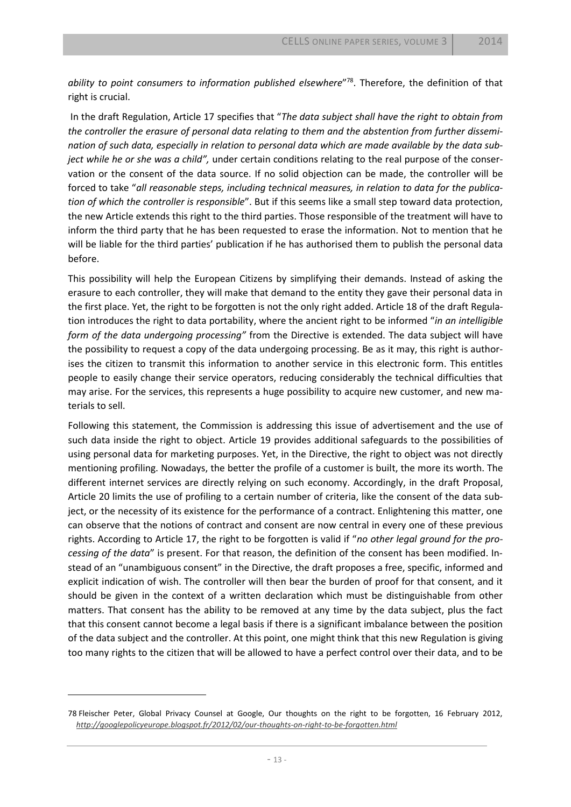*ability to point consumers to information published elsewhere*" 78 . Therefore, the definition of that right is crucial.

In the draft Regulation, Article 17 specifies that "*The data subject shall have the right to obtain from the controller the erasure of personal data relating to them and the abstention from further dissemination of such data, especially in relation to personal data which are made available by the data subject while he or she was a child",* under certain conditions relating to the real purpose of the conservation or the consent of the data source. If no solid objection can be made, the controller will be forced to take "*all reasonable steps, including technical measures, in relation to data for the publication of which the controller is responsible*". But if this seems like a small step toward data protection, the new Article extends this right to the third parties. Those responsible of the treatment will have to inform the third party that he has been requested to erase the information. Not to mention that he will be liable for the third parties' publication if he has authorised them to publish the personal data before.

This possibility will help the European Citizens by simplifying their demands. Instead of asking the erasure to each controller, they will make that demand to the entity they gave their personal data in the first place. Yet, the right to be forgotten is not the only right added. Article 18 of the draft Regulation introduces the right to data portability, where the ancient right to be informed "*in an intelligible form of the data undergoing processing"* from the Directive is extended. The data subject will have the possibility to request a copy of the data undergoing processing. Be as it may, this right is authorises the citizen to transmit this information to another service in this electronic form. This entitles people to easily change their service operators, reducing considerably the technical difficulties that may arise. For the services, this represents a huge possibility to acquire new customer, and new materials to sell.

Following this statement, the Commission is addressing this issue of advertisement and the use of such data inside the right to object. Article 19 provides additional safeguards to the possibilities of using personal data for marketing purposes. Yet, in the Directive, the right to object was not directly mentioning profiling. Nowadays, the better the profile of a customer is built, the more its worth. The different internet services are directly relying on such economy. Accordingly, in the draft Proposal, Article 20 limits the use of profiling to a certain number of criteria, like the consent of the data subject, or the necessity of its existence for the performance of a contract. Enlightening this matter, one can observe that the notions of contract and consent are now central in every one of these previous rights. According to Article 17, the right to be forgotten is valid if "*no other legal ground for the processing of the data*" is present. For that reason, the definition of the consent has been modified. Instead of an "unambiguous consent" in the Directive, the draft proposes a free, specific, informed and explicit indication of wish. The controller will then bear the burden of proof for that consent, and it should be given in the context of a written declaration which must be distinguishable from other matters. That consent has the ability to be removed at any time by the data subject, plus the fact that this consent cannot become a legal basis if there is a significant imbalance between the position of the data subject and the controller. At this point, one might think that this new Regulation is giving too many rights to the citizen that will be allowed to have a perfect control over their data, and to be

l

<sup>78</sup> Fleischer Peter, Global Privacy Counsel at Google, Our thoughts on the right to be forgotten, 16 February 2012, *<http://googlepolicyeurope.blogspot.fr/2012/02/our-thoughts-on-right-to-be-forgotten.html>*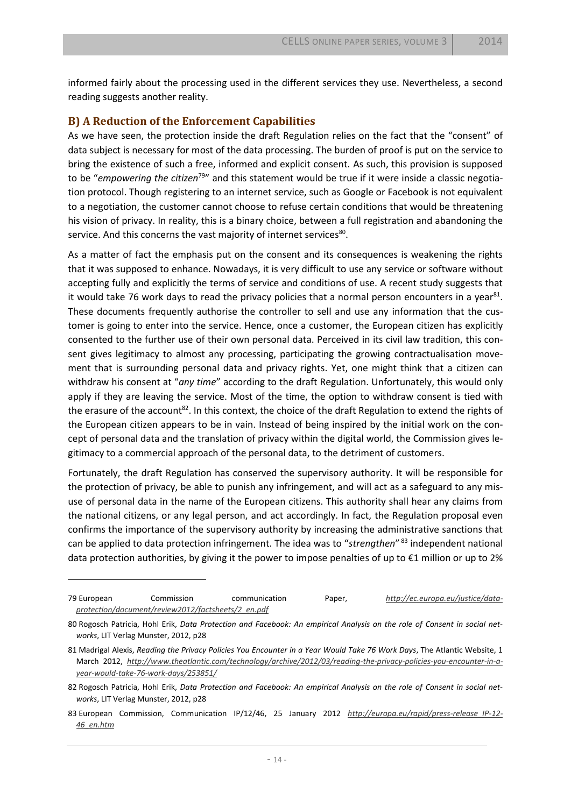informed fairly about the processing used in the different services they use. Nevertheless, a second reading suggests another reality.

#### **B) A Reduction of the Enforcement Capabilities**

 $\overline{a}$ 

As we have seen, the protection inside the draft Regulation relies on the fact that the "consent" of data subject is necessary for most of the data processing. The burden of proof is put on the service to bring the existence of such a free, informed and explicit consent. As such, this provision is supposed to be "*empowering the citizen*<sup>79</sup>" and this statement would be true if it were inside a classic negotiation protocol. Though registering to an internet service, such as Google or Facebook is not equivalent to a negotiation, the customer cannot choose to refuse certain conditions that would be threatening his vision of privacy. In reality, this is a binary choice, between a full registration and abandoning the service. And this concerns the vast majority of internet services<sup>80</sup>.

As a matter of fact the emphasis put on the consent and its consequences is weakening the rights that it was supposed to enhance. Nowadays, it is very difficult to use any service or software without accepting fully and explicitly the terms of service and conditions of use. A recent study suggests that it would take 76 work days to read the privacy policies that a normal person encounters in a year $^{81}$ . These documents frequently authorise the controller to sell and use any information that the customer is going to enter into the service. Hence, once a customer, the European citizen has explicitly consented to the further use of their own personal data. Perceived in its civil law tradition, this consent gives legitimacy to almost any processing, participating the growing contractualisation movement that is surrounding personal data and privacy rights. Yet, one might think that a citizen can withdraw his consent at "*any time*" according to the draft Regulation. Unfortunately, this would only apply if they are leaving the service. Most of the time, the option to withdraw consent is tied with the erasure of the account<sup>82</sup>. In this context, the choice of the draft Regulation to extend the rights of the European citizen appears to be in vain. Instead of being inspired by the initial work on the concept of personal data and the translation of privacy within the digital world, the Commission gives legitimacy to a commercial approach of the personal data, to the detriment of customers.

Fortunately, the draft Regulation has conserved the supervisory authority. It will be responsible for the protection of privacy, be able to punish any infringement, and will act as a safeguard to any misuse of personal data in the name of the European citizens. This authority shall hear any claims from the national citizens, or any legal person, and act accordingly. In fact, the Regulation proposal even confirms the importance of the supervisory authority by increasing the administrative sanctions that can be applied to data protection infringement. The idea was to "*strengthen*" <sup>83</sup> independent national data protection authorities, by giving it the power to impose penalties of up to €1 million or up to 2%

<sup>79</sup> European Commission communication Paper, *[http://ec.europa.eu/justice/data](http://ec.europa.eu/justice/data-protection/document/review2012/factsheets/2_en.pdf)[protection/document/review2012/factsheets/2\\_en.pdf](http://ec.europa.eu/justice/data-protection/document/review2012/factsheets/2_en.pdf)*

<sup>80</sup> Rogosch Patricia, Hohl Erik, *Data Protection and Facebook: An empirical Analysis on the role of Consent in social networks*, LIT Verlag Munster, 2012, p28

<sup>81</sup> Madrigal Alexis, *Reading the Privacy Policies You Encounter in a Year Would Take 76 Work Days*, The Atlantic Website, 1 March 2012, *[http://www.theatlantic.com/technology/archive/2012/03/reading-the-privacy-policies-you-encounter-in-a](http://www.theatlantic.com/technology/archive/2012/03/reading-the-privacy-policies-you-encounter-in-a-year-would-take-76-work-days/253851/)[year-would-take-76-work-days/253851/](http://www.theatlantic.com/technology/archive/2012/03/reading-the-privacy-policies-you-encounter-in-a-year-would-take-76-work-days/253851/)*

<sup>82</sup> Rogosch Patricia, Hohl Erik, *Data Protection and Facebook: An empirical Analysis on the role of Consent in social networks*, LIT Verlag Munster, 2012, p28

<sup>83</sup> European Commission, Communication IP/12/46, 25 January 2012 *[http://europa.eu/rapid/press-release\\_IP-12-](http://europa.eu/rapid/press-release_IP-12-46_en.htm) [46\\_en.htm](http://europa.eu/rapid/press-release_IP-12-46_en.htm)*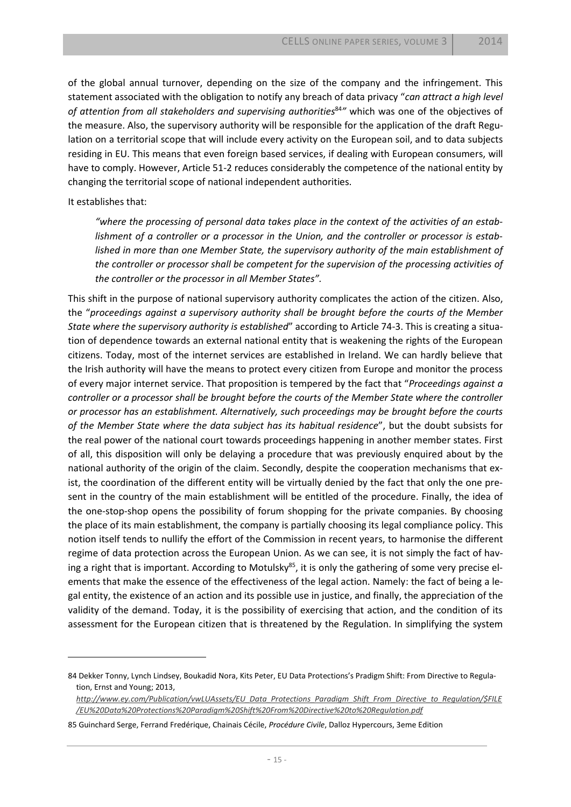of the global annual turnover, depending on the size of the company and the infringement. This statement associated with the obligation to notify any breach of data privacy "*can attract a high level of attention from all stakeholders and supervising authorities*<sup>84</sup>*"* which was one of the objectives of the measure. Also, the supervisory authority will be responsible for the application of the draft Regulation on a territorial scope that will include every activity on the European soil, and to data subjects residing in EU. This means that even foreign based services, if dealing with European consumers, will have to comply. However, Article 51-2 reduces considerably the competence of the national entity by changing the territorial scope of national independent authorities.

#### It establishes that:

 $\overline{a}$ 

*"where the processing of personal data takes place in the context of the activities of an establishment of a controller or a processor in the Union, and the controller or processor is established in more than one Member State, the supervisory authority of the main establishment of the controller or processor shall be competent for the supervision of the processing activities of the controller or the processor in all Member States".*

This shift in the purpose of national supervisory authority complicates the action of the citizen. Also, the "*proceedings against a supervisory authority shall be brought before the courts of the Member State where the supervisory authority is established*" according to Article 74-3. This is creating a situation of dependence towards an external national entity that is weakening the rights of the European citizens. Today, most of the internet services are established in Ireland. We can hardly believe that the Irish authority will have the means to protect every citizen from Europe and monitor the process of every major internet service. That proposition is tempered by the fact that "*Proceedings against a controller or a processor shall be brought before the courts of the Member State where the controller or processor has an establishment. Alternatively, such proceedings may be brought before the courts of the Member State where the data subject has its habitual residence*", but the doubt subsists for the real power of the national court towards proceedings happening in another member states. First of all, this disposition will only be delaying a procedure that was previously enquired about by the national authority of the origin of the claim. Secondly, despite the cooperation mechanisms that exist, the coordination of the different entity will be virtually denied by the fact that only the one present in the country of the main establishment will be entitled of the procedure. Finally, the idea of the one-stop-shop opens the possibility of forum shopping for the private companies. By choosing the place of its main establishment, the company is partially choosing its legal compliance policy. This notion itself tends to nullify the effort of the Commission in recent years, to harmonise the different regime of data protection across the European Union. As we can see, it is not simply the fact of having a right that is important. According to Motulsky<sup>85</sup>, it is only the gathering of some very precise elements that make the essence of the effectiveness of the legal action. Namely: the fact of being a legal entity, the existence of an action and its possible use in justice, and finally, the appreciation of the validity of the demand. Today, it is the possibility of exercising that action, and the condition of its assessment for the European citizen that is threatened by the Regulation. In simplifying the system

<sup>84</sup> Dekker Tonny, Lynch Lindsey, Boukadid Nora, Kits Peter, EU Data Protections's Pradigm Shift: From Directive to Regulation, Ernst and Young; 2013,

*[http://www.ey.com/Publication/vwLUAssets/EU\\_Data\\_Protections\\_Paradigm\\_Shift\\_From\\_Directive\\_to\\_Regulation/\\$FILE](http://www.ey.com/Publication/vwLUAssets/EU_Data_Protections_Paradigm_Shift_From_Directive_to_Regulation/$FILE/EU%20Data%20Protections%20Paradigm%20Shift%20From%20Directive%20to%20Regulation.pdf) [/EU%20Data%20Protections%20Paradigm%20Shift%20From%20Directive%20to%20Regulation.pdf](http://www.ey.com/Publication/vwLUAssets/EU_Data_Protections_Paradigm_Shift_From_Directive_to_Regulation/$FILE/EU%20Data%20Protections%20Paradigm%20Shift%20From%20Directive%20to%20Regulation.pdf)*

<sup>85</sup> Guinchard Serge, Ferrand Fredérique, Chainais Cécile, *Procédure Civile*, Dalloz Hypercours, 3eme Edition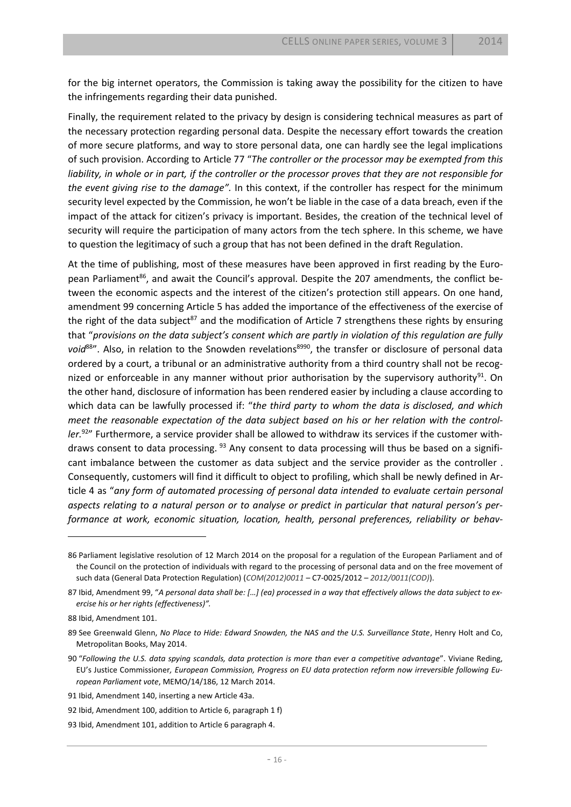for the big internet operators, the Commission is taking away the possibility for the citizen to have the infringements regarding their data punished.

Finally, the requirement related to the privacy by design is considering technical measures as part of the necessary protection regarding personal data. Despite the necessary effort towards the creation of more secure platforms, and way to store personal data, one can hardly see the legal implications of such provision. According to Article 77 "*The controller or the processor may be exempted from this liability, in whole or in part, if the controller or the processor proves that they are not responsible for the event giving rise to the damage".* In this context, if the controller has respect for the minimum security level expected by the Commission, he won't be liable in the case of a data breach, even if the impact of the attack for citizen's privacy is important. Besides, the creation of the technical level of security will require the participation of many actors from the tech sphere. In this scheme, we have to question the legitimacy of such a group that has not been defined in the draft Regulation.

At the time of publishing, most of these measures have been approved in first reading by the European Parliament<sup>86</sup>, and await the Council's approval. Despite the 207 amendments, the conflict between the economic aspects and the interest of the citizen's protection still appears. On one hand, amendment 99 concerning Article 5 has added the importance of the effectiveness of the exercise of the right of the data subject<sup>87</sup> and the modification of Article 7 strengthens these rights by ensuring that "*provisions on the data subject's consent which are partly in violation of this regulation are fully*  void<sup>88</sup>". Also, in relation to the Snowden revelations<sup>8990</sup>, the transfer or disclosure of personal data ordered by a court, a tribunal or an administrative authority from a third country shall not be recognized or enforceable in any manner without prior authorisation by the supervisory authority<sup>91</sup>. On the other hand, disclosure of information has been rendered easier by including a clause according to which data can be lawfully processed if: "*the third party to whom the data is disclosed, and which meet the reasonable expectation of the data subject based on his or her relation with the controller.* 92" Furthermore, a service provider shall be allowed to withdraw its services if the customer withdraws consent to data processing. <sup>93</sup> Any consent to data processing will thus be based on a significant imbalance between the customer as data subject and the service provider as the controller . Consequently, customers will find it difficult to object to profiling, which shall be newly defined in Article 4 as "*any form of automated processing of personal data intended to evaluate certain personal aspects relating to a natural person or to analyse or predict in particular that natural person's performance at work, economic situation, location, health, personal preferences, reliability or behav-*

<sup>86</sup> Parliament legislative resolution of 12 March 2014 on the proposal for a regulation of the European Parliament and of the Council on the protection of individuals with regard to the processing of personal data and on the free movement of such data (General Data Protection Regulation) (*[COM\(2012\)0011](http://ec.europa.eu/prelex/liste_resultats.cfm?CL=en&ReqId=0&DocType=COM&DocYear=2012&DocNum=0011)* – C7-0025/2012 – *[2012/0011\(COD\)](http://www.europarl.europa.eu/oeil/popups/ficheprocedure.do?lang=en&reference=2012/0011%28COD%29)*).

<sup>87</sup> Ibid, Amendment 99, "*A personal data shall be: […] (ea) processed in a way that effectively allows the data subject to exercise his or her rights (effectiveness)".*

<sup>88</sup> Ibid, Amendment 101.

<sup>89</sup> See Greenwald Glenn, *No Place to Hide: Edward Snowden, the NAS and the U.S. Surveillance State*, Henry Holt and Co, Metropolitan Books, May 2014.

<sup>90</sup> "*Following the U.S. data spying scandals, data protection is more than ever a competitive advantage*". Viviane Reding, EU's Justice Commissioner*, European Commission, Progress on EU data protection reform now irreversible following European Parliament vote*, MEMO/14/186, 12 March 2014.

<sup>91</sup> Ibid, Amendment 140, inserting a new Article 43a.

<sup>92</sup> Ibid, Amendment 100, addition to Article 6, paragraph 1 f)

<sup>93</sup> Ibid, Amendment 101, addition to Article 6 paragraph 4.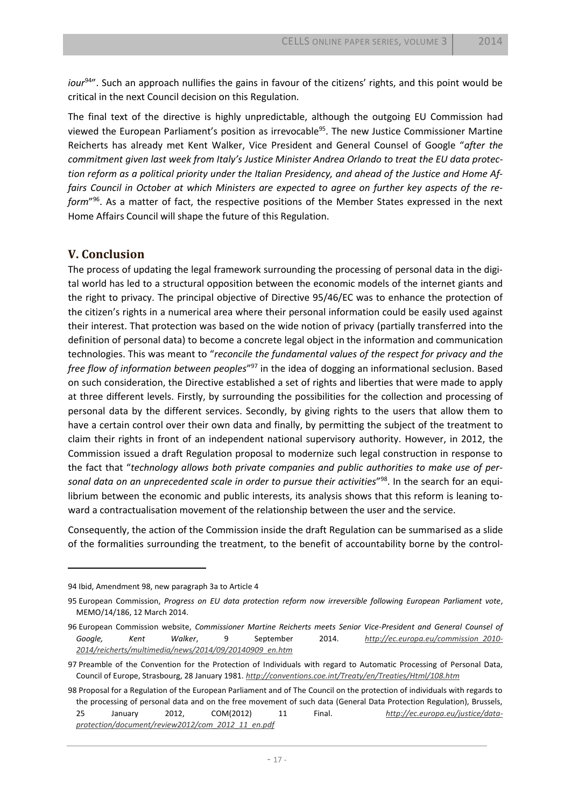*iour*<sup>94</sup>". Such an approach nullifies the gains in favour of the citizens' rights, and this point would be critical in the next Council decision on this Regulation.

The final text of the directive is highly unpredictable, although the outgoing EU Commission had viewed the European Parliament's position as irrevocable<sup>95</sup>. The new Justice Commissioner Martine Reicherts has already met Kent Walker, Vice President and General Counsel of Google "*after the commitment given last week from Italy's Justice Minister Andrea Orlando to treat the EU data protection reform as a political priority under the Italian Presidency, and ahead of the Justice and Home Affairs Council in October at which Ministers are expected to agree on further key aspects of the reform*" 96 . As a matter of fact, the respective positions of the Member States expressed in the next Home Affairs Council will shape the future of this Regulation.

## **V. Conclusion**

The process of updating the legal framework surrounding the processing of personal data in the digital world has led to a structural opposition between the economic models of the internet giants and the right to privacy. The principal objective of Directive 95/46/EC was to enhance the protection of the citizen's rights in a numerical area where their personal information could be easily used against their interest. That protection was based on the wide notion of privacy (partially transferred into the definition of personal data) to become a concrete legal object in the information and communication technologies. This was meant to "*reconcile the fundamental values of the respect for privacy and the free flow of information between peoples*" <sup>97</sup> in the idea of dogging an informational seclusion. Based on such consideration, the Directive established a set of rights and liberties that were made to apply at three different levels. Firstly, by surrounding the possibilities for the collection and processing of personal data by the different services. Secondly, by giving rights to the users that allow them to have a certain control over their own data and finally, by permitting the subject of the treatment to claim their rights in front of an independent national supervisory authority. However, in 2012, the Commission issued a draft Regulation proposal to modernize such legal construction in response to the fact that "*technology allows both private companies and public authorities to make use of per*sonal data on an unprecedented scale in order to pursue their activities<sup>"98</sup>. In the search for an equilibrium between the economic and public interests, its analysis shows that this reform is leaning toward a contractualisation movement of the relationship between the user and the service.

Consequently, the action of the Commission inside the draft Regulation can be summarised as a slide of the formalities surrounding the treatment, to the benefit of accountability borne by the control-

<sup>94</sup> Ibid, Amendment 98, new paragraph 3a to Article 4

<sup>95</sup> European Commission, *Progress on EU data protection reform now irreversible following European Parliament vote*, MEMO/14/186, 12 March 2014.

<sup>96</sup> European Commission website, *Commissioner Martine Reicherts meets Senior Vice-President and General Counsel of Google, Kent Walker*, 9 September 2014. *[http://ec.europa.eu/commission\\_2010-](http://ec.europa.eu/commission_2010-2014/reicherts/multimedia/news/2014/09/20140909_en.htm) [2014/reicherts/multimedia/news/2014/09/20140909\\_en.htm](http://ec.europa.eu/commission_2010-2014/reicherts/multimedia/news/2014/09/20140909_en.htm)*

<sup>97</sup> Preamble of the Convention for the Protection of Individuals with regard to Automatic Processing of Personal Data, Council of Europe, Strasbourg, 28 January 1981. *<http://conventions.coe.int/Treaty/en/Treaties/Html/108.htm>*

<sup>98</sup> Proposal for a Regulation of the European Parliament and of The Council on the protection of individuals with regards to the processing of personal data and on the free movement of such data (General Data Protection Regulation), Brussels, 25 January 2012, COM(2012) 11 Final. *[http://ec.europa.eu/justice/data](http://ec.europa.eu/justice/data-protection/document/review2012/com_2012_11_en.pdf)[protection/document/review2012/com\\_2012\\_11\\_en.pdf](http://ec.europa.eu/justice/data-protection/document/review2012/com_2012_11_en.pdf)*